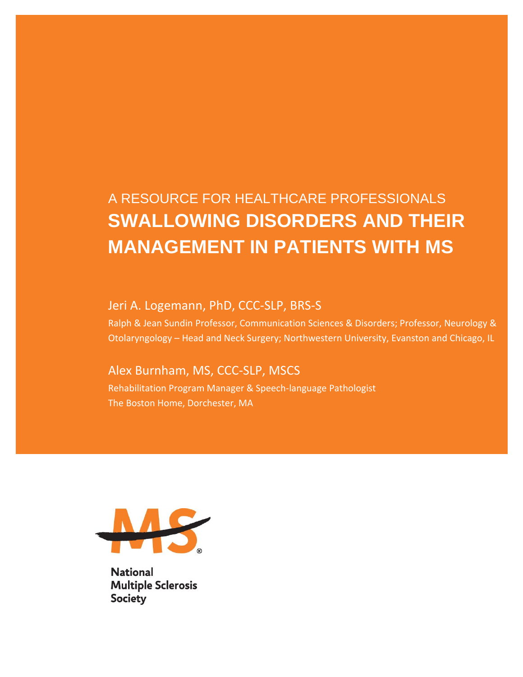# A RESOURCE FOR HEALTHCARE PROFESSIONALS **SWALLOWING DISORDERS AND THEIR MANAGEMENT IN PATIENTS WITH MS**

#### Jeri A. Logemann, PhD, CCC-SLP, BRS-S

Ralph & Jean Sundin Professor, Communication Sciences & Disorders; Professor, Neurology & Otolaryngology – Head and Neck Surgery; Northwestern University, Evanston and Chicago, IL

#### Alex Burnham, MS, CCC-SLP, MSCS

Rehabilitation Program Manager & Speech-language Pathologist The Boston Home, Dorchester, MA



**National Multiple Sclerosis Society**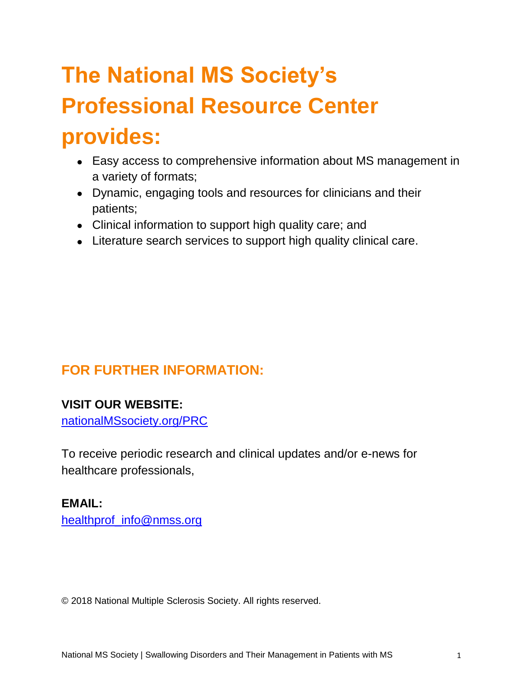# **The National MS Society's Professional Resource Center provides:**

- Easy access to comprehensive information about MS management in a variety of formats;
- Dynamic, engaging tools and resources for clinicians and their patients;
- Clinical information to support high quality care; and
- Literature search services to support high quality clinical care.

# **FOR FURTHER INFORMATION:**

#### **VISIT OUR WEBSITE:**

[nationalMSsociety.org/PRC](http://www.nationalmssociety.org/prc)

To receive periodic research and clinical updates and/or e-news for healthcare professionals,

#### **EMAIL:**

[healthprof\\_info@nmss.org](mailto:healthprof_info@nmss.org)

© 2018 National Multiple Sclerosis Society. All rights reserved.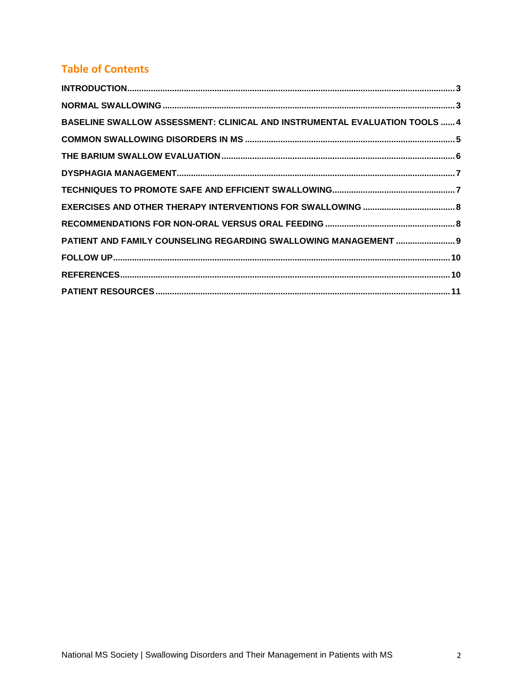### **Table of Contents**

| BASELINE SWALLOW ASSESSMENT: CLINICAL AND INSTRUMENTAL EVALUATION TOOLS  4 |  |
|----------------------------------------------------------------------------|--|
|                                                                            |  |
|                                                                            |  |
|                                                                            |  |
|                                                                            |  |
|                                                                            |  |
|                                                                            |  |
| PATIENT AND FAMILY COUNSELING REGARDING SWALLOWING MANAGEMENT  9           |  |
|                                                                            |  |
|                                                                            |  |
|                                                                            |  |
|                                                                            |  |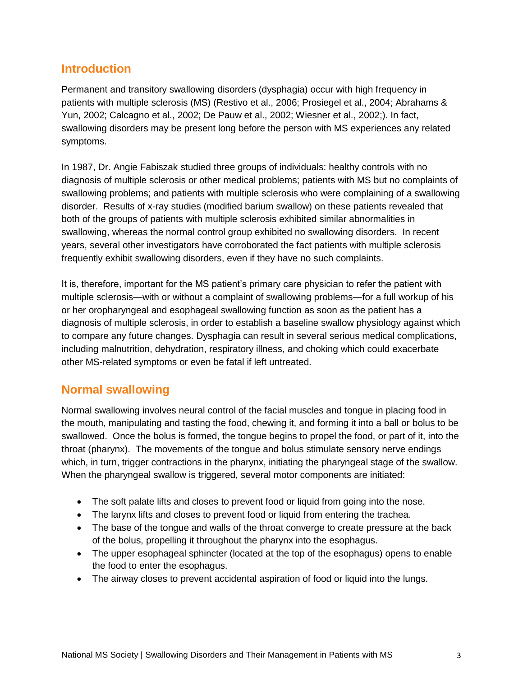#### <span id="page-3-0"></span>**Introduction**

Permanent and transitory swallowing disorders (dysphagia) occur with high frequency in patients with multiple sclerosis (MS) (Restivo et al., 2006; Prosiegel et al., 2004; Abrahams & Yun, 2002; Calcagno et al., 2002; De Pauw et al., 2002; Wiesner et al., 2002;). In fact, swallowing disorders may be present long before the person with MS experiences any related symptoms.

In 1987, Dr. Angie Fabiszak studied three groups of individuals: healthy controls with no diagnosis of multiple sclerosis or other medical problems; patients with MS but no complaints of swallowing problems; and patients with multiple sclerosis who were complaining of a swallowing disorder. Results of x-ray studies (modified barium swallow) on these patients revealed that both of the groups of patients with multiple sclerosis exhibited similar abnormalities in swallowing, whereas the normal control group exhibited no swallowing disorders. In recent years, several other investigators have corroborated the fact patients with multiple sclerosis frequently exhibit swallowing disorders, even if they have no such complaints.

It is, therefore, important for the MS patient's primary care physician to refer the patient with multiple sclerosis—with or without a complaint of swallowing problems—for a full workup of his or her oropharyngeal and esophageal swallowing function as soon as the patient has a diagnosis of multiple sclerosis, in order to establish a baseline swallow physiology against which to compare any future changes. Dysphagia can result in several serious medical complications, including malnutrition, dehydration, respiratory illness, and choking which could exacerbate other MS-related symptoms or even be fatal if left untreated.

#### <span id="page-3-1"></span>**Normal swallowing**

Normal swallowing involves neural control of the facial muscles and tongue in placing food in the mouth, manipulating and tasting the food, chewing it, and forming it into a ball or bolus to be swallowed. Once the bolus is formed, the tongue begins to propel the food, or part of it, into the throat (pharynx). The movements of the tongue and bolus stimulate sensory nerve endings which, in turn, trigger contractions in the pharynx, initiating the pharyngeal stage of the swallow. When the pharyngeal swallow is triggered, several motor components are initiated:

- The soft palate lifts and closes to prevent food or liquid from going into the nose.
- The larynx lifts and closes to prevent food or liquid from entering the trachea.
- The base of the tongue and walls of the throat converge to create pressure at the back of the bolus, propelling it throughout the pharynx into the esophagus.
- The upper esophageal sphincter (located at the top of the esophagus) opens to enable the food to enter the esophagus.
- The airway closes to prevent accidental aspiration of food or liquid into the lungs.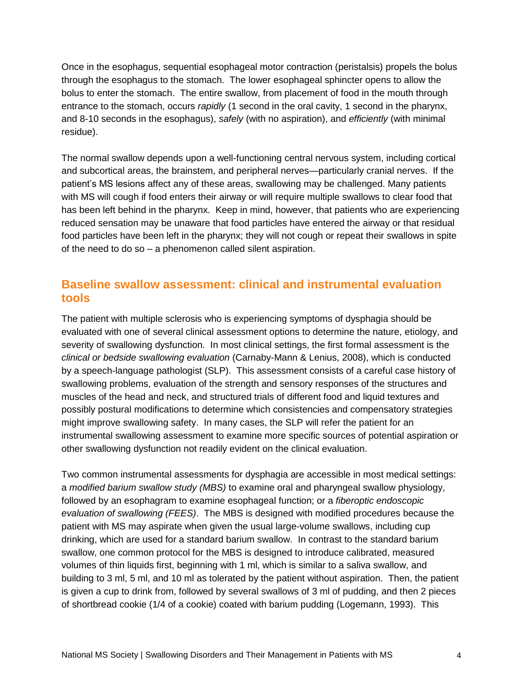Once in the esophagus, sequential esophageal motor contraction (peristalsis) propels the bolus through the esophagus to the stomach. The lower esophageal sphincter opens to allow the bolus to enter the stomach. The entire swallow, from placement of food in the mouth through entrance to the stomach, occurs *rapidly* (1 second in the oral cavity, 1 second in the pharynx, and 8-10 seconds in the esophagus), *safely* (with no aspiration), and *efficiently* (with minimal residue).

The normal swallow depends upon a well-functioning central nervous system, including cortical and subcortical areas, the brainstem, and peripheral nerves—particularly cranial nerves. If the patient's MS lesions affect any of these areas, swallowing may be challenged. Many patients with MS will cough if food enters their airway or will require multiple swallows to clear food that has been left behind in the pharynx. Keep in mind, however, that patients who are experiencing reduced sensation may be unaware that food particles have entered the airway or that residual food particles have been left in the pharynx; they will not cough or repeat their swallows in spite of the need to do so – a phenomenon called silent aspiration.

#### <span id="page-4-0"></span>**Baseline swallow assessment: clinical and instrumental evaluation tools**

The patient with multiple sclerosis who is experiencing symptoms of dysphagia should be evaluated with one of several clinical assessment options to determine the nature, etiology, and severity of swallowing dysfunction. In most clinical settings, the first formal assessment is the *clinical or bedside swallowing evaluation* (Carnaby-Mann & Lenius, 2008), which is conducted by a speech-language pathologist (SLP). This assessment consists of a careful case history of swallowing problems, evaluation of the strength and sensory responses of the structures and muscles of the head and neck, and structured trials of different food and liquid textures and possibly postural modifications to determine which consistencies and compensatory strategies might improve swallowing safety. In many cases, the SLP will refer the patient for an instrumental swallowing assessment to examine more specific sources of potential aspiration or other swallowing dysfunction not readily evident on the clinical evaluation.

Two common instrumental assessments for dysphagia are accessible in most medical settings: a *modified barium swallow study (MBS)* to examine oral and pharyngeal swallow physiology, followed by an esophagram to examine esophageal function; or a *fiberoptic endoscopic evaluation of swallowing (FEES)*. The MBS is designed with modified procedures because the patient with MS may aspirate when given the usual large-volume swallows, including cup drinking, which are used for a standard barium swallow. In contrast to the standard barium swallow, one common protocol for the MBS is designed to introduce calibrated, measured volumes of thin liquids first, beginning with 1 ml, which is similar to a saliva swallow, and building to 3 ml, 5 ml, and 10 ml as tolerated by the patient without aspiration. Then, the patient is given a cup to drink from, followed by several swallows of 3 ml of pudding, and then 2 pieces of shortbread cookie (1/4 of a cookie) coated with barium pudding (Logemann, 1993). This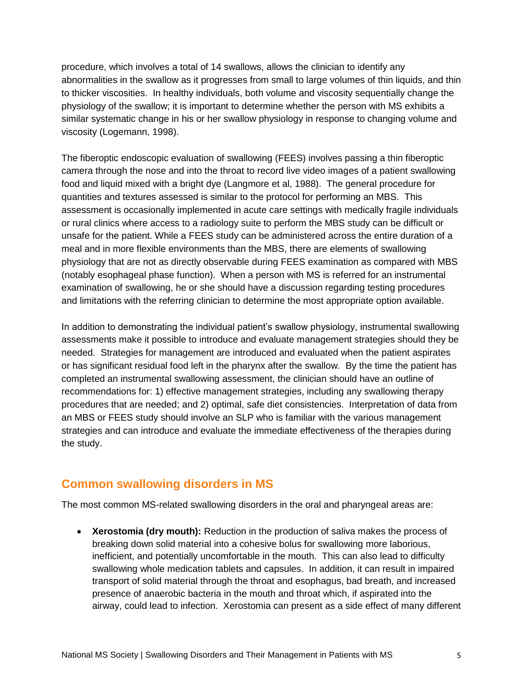procedure, which involves a total of 14 swallows, allows the clinician to identify any abnormalities in the swallow as it progresses from small to large volumes of thin liquids, and thin to thicker viscosities. In healthy individuals, both volume and viscosity sequentially change the physiology of the swallow; it is important to determine whether the person with MS exhibits a similar systematic change in his or her swallow physiology in response to changing volume and viscosity (Logemann, 1998).

The fiberoptic endoscopic evaluation of swallowing (FEES) involves passing a thin fiberoptic camera through the nose and into the throat to record live video images of a patient swallowing food and liquid mixed with a bright dye (Langmore et al, 1988). The general procedure for quantities and textures assessed is similar to the protocol for performing an MBS. This assessment is occasionally implemented in acute care settings with medically fragile individuals or rural clinics where access to a radiology suite to perform the MBS study can be difficult or unsafe for the patient. While a FEES study can be administered across the entire duration of a meal and in more flexible environments than the MBS, there are elements of swallowing physiology that are not as directly observable during FEES examination as compared with MBS (notably esophageal phase function). When a person with MS is referred for an instrumental examination of swallowing, he or she should have a discussion regarding testing procedures and limitations with the referring clinician to determine the most appropriate option available.

In addition to demonstrating the individual patient's swallow physiology, instrumental swallowing assessments make it possible to introduce and evaluate management strategies should they be needed. Strategies for management are introduced and evaluated when the patient aspirates or has significant residual food left in the pharynx after the swallow. By the time the patient has completed an instrumental swallowing assessment, the clinician should have an outline of recommendations for: 1) effective management strategies, including any swallowing therapy procedures that are needed; and 2) optimal, safe diet consistencies. Interpretation of data from an MBS or FEES study should involve an SLP who is familiar with the various management strategies and can introduce and evaluate the immediate effectiveness of the therapies during the study.

#### <span id="page-5-0"></span>**Common swallowing disorders in MS**

The most common MS-related swallowing disorders in the oral and pharyngeal areas are:

• **Xerostomia (dry mouth):** Reduction in the production of saliva makes the process of breaking down solid material into a cohesive bolus for swallowing more laborious, inefficient, and potentially uncomfortable in the mouth. This can also lead to difficulty swallowing whole medication tablets and capsules. In addition, it can result in impaired transport of solid material through the throat and esophagus, bad breath, and increased presence of anaerobic bacteria in the mouth and throat which, if aspirated into the airway, could lead to infection. Xerostomia can present as a side effect of many different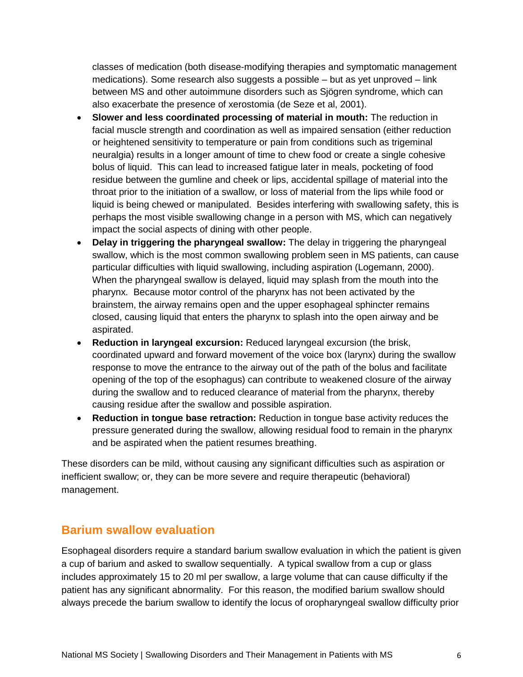classes of medication (both disease-modifying therapies and symptomatic management medications). Some research also suggests a possible – but as yet unproved – link between MS and other autoimmune disorders such as Sjögren syndrome, which can also exacerbate the presence of xerostomia (de Seze et al, 2001).

- **Slower and less coordinated processing of material in mouth:** The reduction in facial muscle strength and coordination as well as impaired sensation (either reduction or heightened sensitivity to temperature or pain from conditions such as trigeminal neuralgia) results in a longer amount of time to chew food or create a single cohesive bolus of liquid. This can lead to increased fatigue later in meals, pocketing of food residue between the gumline and cheek or lips, accidental spillage of material into the throat prior to the initiation of a swallow, or loss of material from the lips while food or liquid is being chewed or manipulated. Besides interfering with swallowing safety, this is perhaps the most visible swallowing change in a person with MS, which can negatively impact the social aspects of dining with other people.
- **Delay in triggering the pharyngeal swallow:** The delay in triggering the pharyngeal swallow, which is the most common swallowing problem seen in MS patients, can cause particular difficulties with liquid swallowing, including aspiration (Logemann, 2000). When the pharyngeal swallow is delayed, liquid may splash from the mouth into the pharynx. Because motor control of the pharynx has not been activated by the brainstem, the airway remains open and the upper esophageal sphincter remains closed, causing liquid that enters the pharynx to splash into the open airway and be aspirated.
- **Reduction in laryngeal excursion:** Reduced laryngeal excursion (the brisk, coordinated upward and forward movement of the voice box (larynx) during the swallow response to move the entrance to the airway out of the path of the bolus and facilitate opening of the top of the esophagus) can contribute to weakened closure of the airway during the swallow and to reduced clearance of material from the pharynx, thereby causing residue after the swallow and possible aspiration.
- **Reduction in tongue base retraction:** Reduction in tongue base activity reduces the pressure generated during the swallow, allowing residual food to remain in the pharynx and be aspirated when the patient resumes breathing.

These disorders can be mild, without causing any significant difficulties such as aspiration or inefficient swallow; or, they can be more severe and require therapeutic (behavioral) management.

#### <span id="page-6-0"></span>**Barium swallow evaluation**

Esophageal disorders require a standard barium swallow evaluation in which the patient is given a cup of barium and asked to swallow sequentially. A typical swallow from a cup or glass includes approximately 15 to 20 ml per swallow, a large volume that can cause difficulty if the patient has any significant abnormality. For this reason, the modified barium swallow should always precede the barium swallow to identify the locus of oropharyngeal swallow difficulty prior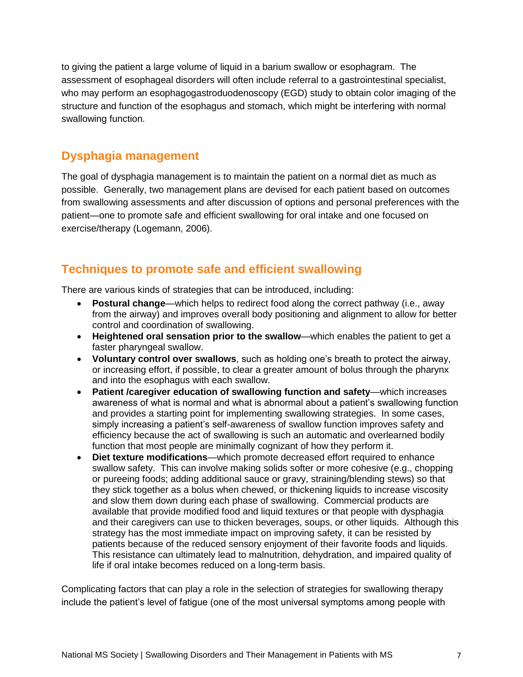to giving the patient a large volume of liquid in a barium swallow or esophagram. The assessment of esophageal disorders will often include referral to a gastrointestinal specialist, who may perform an esophagogastroduodenoscopy (EGD) study to obtain color imaging of the structure and function of the esophagus and stomach, which might be interfering with normal swallowing function.

#### <span id="page-7-0"></span>**Dysphagia management**

The goal of dysphagia management is to maintain the patient on a normal diet as much as possible. Generally, two management plans are devised for each patient based on outcomes from swallowing assessments and after discussion of options and personal preferences with the patient—one to promote safe and efficient swallowing for oral intake and one focused on exercise/therapy (Logemann, 2006).

#### <span id="page-7-1"></span>**Techniques to promote safe and efficient swallowing**

There are various kinds of strategies that can be introduced, including:

- **Postural change**—which helps to redirect food along the correct pathway (i.e., away from the airway) and improves overall body positioning and alignment to allow for better control and coordination of swallowing.
- **Heightened oral sensation prior to the swallow**—which enables the patient to get a faster pharyngeal swallow.
- **Voluntary control over swallows**, such as holding one's breath to protect the airway, or increasing effort, if possible, to clear a greater amount of bolus through the pharynx and into the esophagus with each swallow.
- **Patient /caregiver education of swallowing function and safety**—which increases awareness of what is normal and what is abnormal about a patient's swallowing function and provides a starting point for implementing swallowing strategies. In some cases, simply increasing a patient's self-awareness of swallow function improves safety and efficiency because the act of swallowing is such an automatic and overlearned bodily function that most people are minimally cognizant of how they perform it.
- **Diet texture modifications**—which promote decreased effort required to enhance swallow safety. This can involve making solids softer or more cohesive (e.g., chopping or pureeing foods; adding additional sauce or gravy, straining/blending stews) so that they stick together as a bolus when chewed, or thickening liquids to increase viscosity and slow them down during each phase of swallowing. Commercial products are available that provide modified food and liquid textures or that people with dysphagia and their caregivers can use to thicken beverages, soups, or other liquids. Although this strategy has the most immediate impact on improving safety, it can be resisted by patients because of the reduced sensory enjoyment of their favorite foods and liquids. This resistance can ultimately lead to malnutrition, dehydration, and impaired quality of life if oral intake becomes reduced on a long-term basis.

Complicating factors that can play a role in the selection of strategies for swallowing therapy include the patient's level of fatigue (one of the most universal symptoms among people with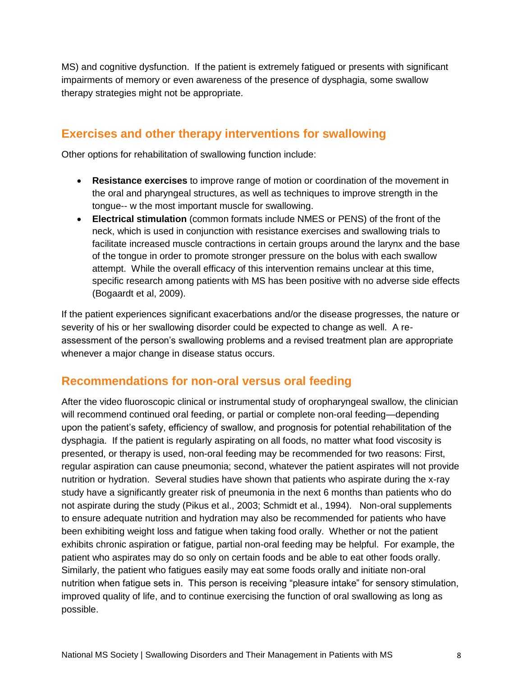MS) and cognitive dysfunction. If the patient is extremely fatigued or presents with significant impairments of memory or even awareness of the presence of dysphagia, some swallow therapy strategies might not be appropriate.

#### <span id="page-8-0"></span>**Exercises and other therapy interventions for swallowing**

Other options for rehabilitation of swallowing function include:

- **Resistance exercises** to improve range of motion or coordination of the movement in the oral and pharyngeal structures, as well as techniques to improve strength in the tongue-- w the most important muscle for swallowing.
- **Electrical stimulation** (common formats include NMES or PENS) of the front of the neck, which is used in conjunction with resistance exercises and swallowing trials to facilitate increased muscle contractions in certain groups around the larynx and the base of the tongue in order to promote stronger pressure on the bolus with each swallow attempt. While the overall efficacy of this intervention remains unclear at this time, specific research among patients with MS has been positive with no adverse side effects (Bogaardt et al, 2009).

If the patient experiences significant exacerbations and/or the disease progresses, the nature or severity of his or her swallowing disorder could be expected to change as well. A reassessment of the person's swallowing problems and a revised treatment plan are appropriate whenever a major change in disease status occurs.

#### <span id="page-8-1"></span>**Recommendations for non-oral versus oral feeding**

After the video fluoroscopic clinical or instrumental study of oropharyngeal swallow, the clinician will recommend continued oral feeding, or partial or complete non-oral feeding—depending upon the patient's safety, efficiency of swallow, and prognosis for potential rehabilitation of the dysphagia. If the patient is regularly aspirating on all foods, no matter what food viscosity is presented, or therapy is used, non-oral feeding may be recommended for two reasons: First, regular aspiration can cause pneumonia; second, whatever the patient aspirates will not provide nutrition or hydration. Several studies have shown that patients who aspirate during the x-ray study have a significantly greater risk of pneumonia in the next 6 months than patients who do not aspirate during the study (Pikus et al., 2003; Schmidt et al., 1994). Non-oral supplements to ensure adequate nutrition and hydration may also be recommended for patients who have been exhibiting weight loss and fatigue when taking food orally. Whether or not the patient exhibits chronic aspiration or fatigue, partial non-oral feeding may be helpful. For example, the patient who aspirates may do so only on certain foods and be able to eat other foods orally. Similarly, the patient who fatigues easily may eat some foods orally and initiate non-oral nutrition when fatigue sets in. This person is receiving "pleasure intake" for sensory stimulation, improved quality of life, and to continue exercising the function of oral swallowing as long as possible.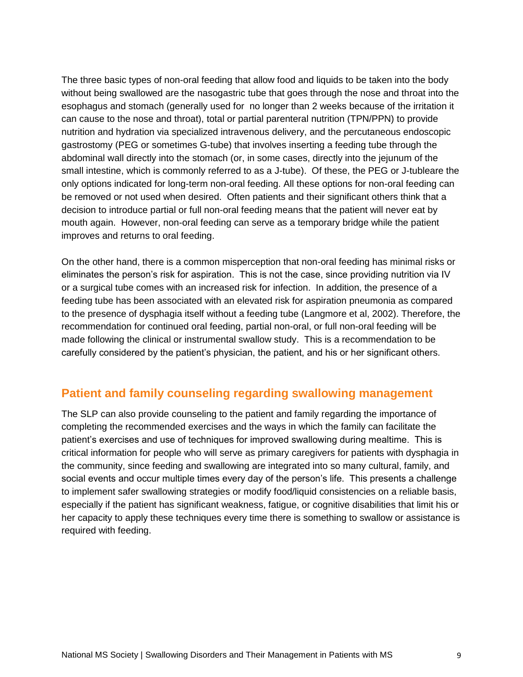The three basic types of non-oral feeding that allow food and liquids to be taken into the body without being swallowed are the nasogastric tube that goes through the nose and throat into the esophagus and stomach (generally used for no longer than 2 weeks because of the irritation it can cause to the nose and throat), total or partial parenteral nutrition (TPN/PPN) to provide nutrition and hydration via specialized intravenous delivery, and the percutaneous endoscopic gastrostomy (PEG or sometimes G-tube) that involves inserting a feeding tube through the abdominal wall directly into the stomach (or, in some cases, directly into the jejunum of the small intestine, which is commonly referred to as a J-tube). Of these, the PEG or J-tubleare the only options indicated for long-term non-oral feeding. All these options for non-oral feeding can be removed or not used when desired. Often patients and their significant others think that a decision to introduce partial or full non-oral feeding means that the patient will never eat by mouth again. However, non-oral feeding can serve as a temporary bridge while the patient improves and returns to oral feeding.

On the other hand, there is a common misperception that non-oral feeding has minimal risks or eliminates the person's risk for aspiration. This is not the case, since providing nutrition via IV or a surgical tube comes with an increased risk for infection. In addition, the presence of a feeding tube has been associated with an elevated risk for aspiration pneumonia as compared to the presence of dysphagia itself without a feeding tube (Langmore et al, 2002). Therefore, the recommendation for continued oral feeding, partial non-oral, or full non-oral feeding will be made following the clinical or instrumental swallow study. This is a recommendation to be carefully considered by the patient's physician, the patient, and his or her significant others.

#### <span id="page-9-0"></span>**Patient and family counseling regarding swallowing management**

The SLP can also provide counseling to the patient and family regarding the importance of completing the recommended exercises and the ways in which the family can facilitate the patient's exercises and use of techniques for improved swallowing during mealtime. This is critical information for people who will serve as primary caregivers for patients with dysphagia in the community, since feeding and swallowing are integrated into so many cultural, family, and social events and occur multiple times every day of the person's life. This presents a challenge to implement safer swallowing strategies or modify food/liquid consistencies on a reliable basis, especially if the patient has significant weakness, fatigue, or cognitive disabilities that limit his or her capacity to apply these techniques every time there is something to swallow or assistance is required with feeding.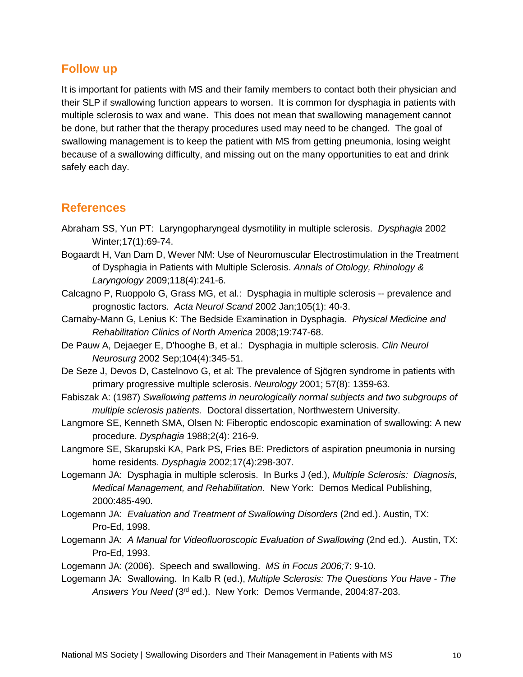#### <span id="page-10-0"></span>**Follow up**

It is important for patients with MS and their family members to contact both their physician and their SLP if swallowing function appears to worsen. It is common for dysphagia in patients with multiple sclerosis to wax and wane. This does not mean that swallowing management cannot be done, but rather that the therapy procedures used may need to be changed. The goal of swallowing management is to keep the patient with MS from getting pneumonia, losing weight because of a swallowing difficulty, and missing out on the many opportunities to eat and drink safely each day.

#### <span id="page-10-1"></span>**References**

- Abraham SS, Yun PT: Laryngopharyngeal dysmotility in multiple sclerosis. *Dysphagia* 2002 Winter;17(1):69-74.
- Bogaardt H, Van Dam D, Wever NM: Use of Neuromuscular Electrostimulation in the Treatment of Dysphagia in Patients with Multiple Sclerosis. *Annals of Otology, Rhinology & Laryngology* 2009;118(4):241-6.
- Calcagno P, Ruoppolo G, Grass MG, et al.: Dysphagia in multiple sclerosis -- prevalence and prognostic factors. *Acta Neurol Scand* 2002 Jan;105(1): 40-3.
- Carnaby-Mann G, Lenius K: The Bedside Examination in Dysphagia. *Physical Medicine and Rehabilitation Clinics of North America* 2008;19:747-68.
- De Pauw A, Dejaeger E, D'hooghe B, et al.: Dysphagia in multiple sclerosis. *Clin Neurol Neurosurg* 2002 Sep;104(4):345-51.
- De Seze J, Devos D, Castelnovo G, et al: The prevalence of Sjögren syndrome in patients with primary progressive multiple sclerosis. *Neurology* 2001; 57(8): 1359-63.
- Fabiszak A: (1987) *Swallowing patterns in neurologically normal subjects and two subgroups of multiple sclerosis patients.* Doctoral dissertation, Northwestern University.
- Langmore SE, Kenneth SMA, Olsen N: Fiberoptic endoscopic examination of swallowing: A new procedure. *Dysphagia* 1988;2(4): 216-9.
- Langmore SE, Skarupski KA, Park PS, Fries BE: Predictors of aspiration pneumonia in nursing home residents. *Dysphagia* 2002;17(4):298-307.
- Logemann JA: Dysphagia in multiple sclerosis. In Burks J (ed.), *Multiple Sclerosis: Diagnosis, Medical Management, and Rehabilitation*. New York: Demos Medical Publishing, 2000:485-490.
- Logemann JA: *Evaluation and Treatment of Swallowing Disorders* (2nd ed.). Austin, TX: Pro-Ed, 1998.
- Logemann JA: *A Manual for Videofluoroscopic Evaluation of Swallowing (2nd ed.).* Austin, TX: Pro-Ed, 1993.
- Logemann JA: (2006). Speech and swallowing. *MS in Focus 2006;*7: 9-10.
- Logemann JA: Swallowing. In Kalb R (ed.), *Multiple Sclerosis: The Questions You Have - The*  Answers You Need (3<sup>rd</sup> ed.). New York: Demos Vermande, 2004:87-203.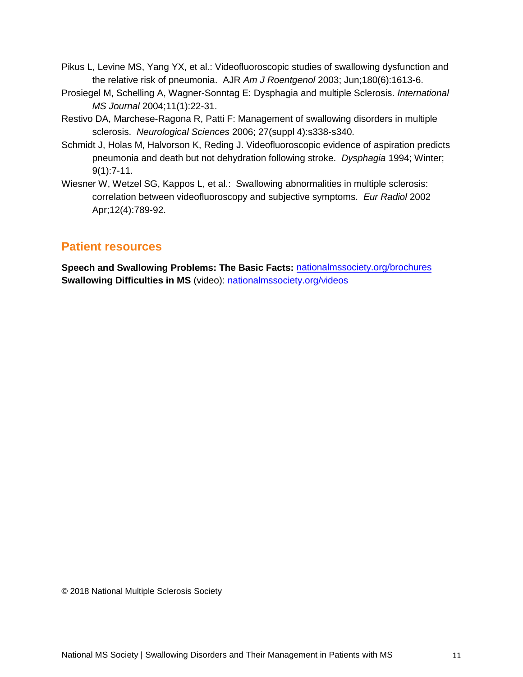- Pikus L, Levine MS, Yang YX, et al.: Videofluoroscopic studies of swallowing dysfunction and the relative risk of pneumonia. AJR *Am J Roentgenol* 2003; Jun;180(6):1613-6.
- Prosiegel M, Schelling A, Wagner-Sonntag E: Dysphagia and multiple Sclerosis. *International MS Journal* 2004;11(1):22-31.
- Restivo DA, Marchese-Ragona R, Patti F: Management of swallowing disorders in multiple sclerosis. *Neurological Sciences* 2006; 27(suppl 4):s338-s340.
- Schmidt J, Holas M, Halvorson K, Reding J. Videofluoroscopic evidence of aspiration predicts pneumonia and death but not dehydration following stroke. *Dysphagia* 1994; Winter; 9(1):7-11.
- Wiesner W, Wetzel SG, Kappos L, et al.: Swallowing abnormalities in multiple sclerosis: correlation between videofluoroscopy and subjective symptoms. *Eur Radiol* 2002 Apr;12(4):789-92.

#### <span id="page-11-0"></span>**Patient resources**

**Speech and Swallowing Problems: The Basic Facts:** [nationalmssociety.org/brochures](http://www.nationalmssociety.org/brochures) **Swallowing Difficulties in MS** (video): [nationalmssociety.org/videos](http://www.nationalmssociety.org/videos)

© 2018 National Multiple Sclerosis Society